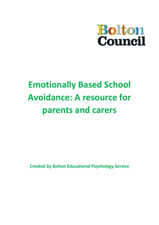

# **Emotionally Based School Avoidance: A resource for parents and carers**

**Created by Bolton Educational Psychology Service**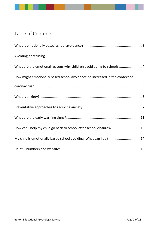# Table of Contents

| What are the emotional reasons why children avoid going to school? 4        |
|-----------------------------------------------------------------------------|
| How might emotionally based school avoidance be increased in the context of |
|                                                                             |
|                                                                             |
|                                                                             |
|                                                                             |
| How can I help my child go back to school after school closures? 13         |
| My child is emotionally based school avoiding. What can I do?14             |
|                                                                             |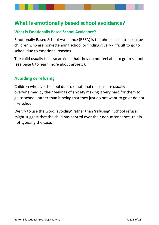# <span id="page-2-0"></span>**What is emotionally based school avoidance?**

### **What is Emotionally Based School Avoidance?**

Emotionally Based School Avoidance (EBSA) is the phrase used to describe children who are non-attending school or finding it very difficult to go to school due to emotional reasons.

The child usually feels so anxious that they do not feel able to go to school (see page 6 to learn more about anxiety).

### <span id="page-2-1"></span>**Avoiding or refusing**

Children who avoid school due to emotional reasons are usually overwhelmed by their feelings of anxiety making it very hard for them to go to school, rather than it being that they just do not want to go or do not like school.

We try to use the word 'avoiding' rather than 'refusing'. 'School refusal' might suggest that the child has control over their non-attendance, this is not typically the case.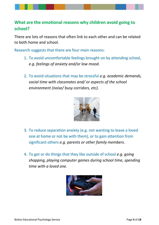### <span id="page-3-0"></span>**What are the emotional reasons why children avoid going to school?**

There are lots of reasons that often link to each other and can be related to both home and school.

Research suggests that there are four main reasons:

- 1. To avoid uncomfortable feelings brought on by attending school, *e.g. feelings of anxiety and/or low mood.*
- 2. To avoid situations that may be stressful *e.g. academic demands, social time with classmates and/ or aspects of the school environment (noise/ busy corridors, etc).*



- 3. To reduce separation anxiety (e.g. not wanting to leave a loved one at home or not be with them), or to gain attention from significant others *e.g. parents or other family members*.
- 4. To get or do things that they like outside of school *e.g. going shopping, playing computer games during school time, spending time with a loved one.*

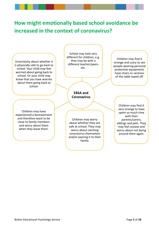# <span id="page-4-0"></span>**How might emotionally based school avoidance be increased in the context of coronavirus?**

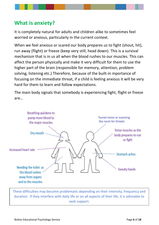# <span id="page-5-0"></span>**What is anxiety?**

It is completely natural for adults and children alike to sometimes feel worried or anxious, particularly in the current context.

When we feel anxious or scared our body prepares us to fight (shout, hit), run away (flight) or freeze (keep very still, head down). This is a survival mechanism that is in us all when the blood rushes to our muscles. This can affect the person physically and make it very difficult for them to use the higher part of the brain (responsible for memory, attention, problem solving, listening etc.) Therefore, because of the built-in mportance of focusing on the immediate threat, if a child is feeling anxious it will be very hard for them to learn and follow expectations.

The main body signals that somebody is experiencing fight, flight or freeze are…



These difficulties may become problematic depending on their intensity, frequency and duration. If they interfere with daily life or on all aspects of their life, it is advisable to seek support.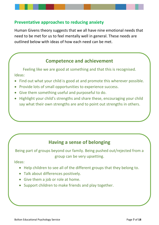### <span id="page-6-0"></span>**Preventative approaches to reducing anxiety**

Human Givens theory suggests that we all have nine emotional needs that need to be met for us to feel mentally well in general. These needs are outlined below with ideas of how each need can be met.

### **Competence and achievement**

Feeling like we are good at something and that this is recognised. Ideas:

- Find out what your child is good at and promote this wherever possible.
- Provide lots of small opportunities to experience success.
- Give them something useful and purposeful to do.
- Highlight your child's strengths and share these, encouraging your child say what their own strengths are and to point out strengths in others.

### **Having a sense of belonging**

Being part of groups beyond our family. Being pushed out/rejected from a group can be very upsetting.

Ideas:

- Help children to see all of the different groups that they belong to.
- Talk about differences positively.
- Give them a job or role at home.
- Support children to make friends and play together.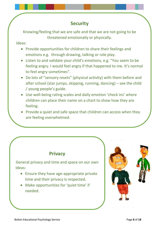## **Security**

Knowing/feeling that we are safe and that we are not going to be threatened emotionally or physically.

Ideas:

- Provide opportunities for children to share their feelings and emotions e.g. through drawing, talking or role play.
- Listen to and validate your child's emotions, e.g. "You seem to be feeling angry. I would feel angry if that happened to me. It's normal to feel angry sometimes".
- Do lots of "sensory resets" (physical activity) with them before and after school (star jumps, skipping, running, dancing) – see the child / young people's guide.
- Use well-being rating scales and daily emotion 'check ins' where children can place their name on a chart to show how they are feeling.
- Provide a quiet and safe space that children can access when they are feeling overwhelmed.

### **Privacy**

General privacy and time and space on our own Ideas:

- Ensure they have age-appropriate private time and their privacy is respected.
- Make opportunities for 'quiet time' if needed.

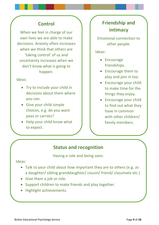### **Control**

When we feel in charge of our own lives we are able to make decisions. Anxiety often increases when we think that others are 'taking control' of us and uncertainty increases when we don't know what is going to happen.

#### Ideas:

- Try to include your child in decisions about them where you can.
- Give your child simple choices, e.g. do you want peas or carrots?
- Help your child know what to expect.

# **Friendship and intimacy**

Emotional connection to other people.

#### Ideas:

- Encourage friendships.
- Encourage them to play and join in too.
- Encourage your child to make time for the things they enjoy.
- Encourage your child to find out what they have in common with other children/ family members.

### **Status and recognition**

Having a role and being seen.

#### Ideas:

- Talk to your child about how important they are to others (e.g. as a daughter/ sibling granddaughter/ cousin/ friend/ classmate etc.)
- Give them a job or role.
- Support children to make friends and play together.
- Highlight achievements.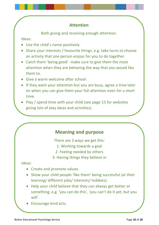### **Attention**

Both giving and receiving enough attention.

Ideas:

- Use the child's name positively.
- Share your interests / favourite things, e.g. take turns to choose an activity that one person enjoys for you to do together.
- Catch them 'being good' -make sure to give them the most attention when they are behaving the way that you would like them to.
- Give a warm welcome after school.
- If they want your attention but you are busy, agree a time later on when you can give them your full attention even for a short time.
- Play / spend time with your child (see page 15 for websites giving lots of play ideas and activities).

### **Meaning and purpose**

There are 3 ways we get this:

- 1. Working towards a goal
- 2. Feeling needed by others
- 3. Having things they believe in

#### Ideas:

- Create and promote values.
- Show your child people 'like them' being successful (at their learning/ different jobs/ interests/ hobbies).
- Help your child believe that they can always get better at something, e.g. 'you can do this', 'you can't do it yet, but you will'.
- Encourage kind acts.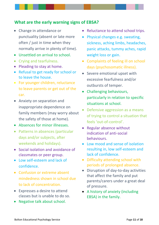### <span id="page-10-0"></span>**What are the early warning signs of EBSA?**

- Change in attendance or punctuality (absent or late more often / just in time when they normally arrive in plenty of time).
- Unsettled on arrival to school.
- Crying and tearfulness.
- Pleading to stay at home.
- Refusal to get ready for school or to leave the house.
- For younger children, reluctance to leave parents or get out of the car.
- Anxiety on separation and inappropriate dependence on family members (may worry about the safety of those at home).
- Absences for minor illnesses.
- Patterns in absences (particular days and/or subjects, after weekends and holidays).
- Social isolation and avoidance of classmates or peer group.
- Low self-esteem and lack of confidence.
- Confusion or extreme absent mindedness shown in school due to lack of concentration.
- Expresses a desire to attend classes but is unable to do so.
- Negative talk about school.
- Reluctance to attend school trips.
- Physical changes e.g. sweating, sickness, aching limbs, headaches, panic attacks, tummy aches, rapid weight loss or gain.
- Complaints of feeling ill on school days (psychosomatic illness).
- Severe emotional upset with excessive fearfulness and/or outbursts of temper.
- Challenging behaviours, particularly in relation to specific situations at school.
- Defensive aggression as a means of trying to control a situation that feels 'out-of-control'.
- Regular absence without indication of anti-social behaviours.
- Low mood and sense of isolation resulting in, low self-esteem and lack of confidence.
- Difficulty attending school with periods of prolonged absence.
- Disruption of day-to-day activities that affect the family and put parents/carers under a great deal of pressure.
- A history of anxiety (including EBSA) in the family.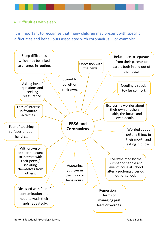• Difficulties with sleep.

It is important to recognise that many children may present with specific difficulties and behaviours associated with coronavirus. For example:

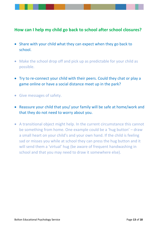### <span id="page-12-0"></span>**How can I help my child go back to school after school closures?**

- Share with your child what they can expect when they go back to school.
- Make the school drop off and pick up as predictable for your child as possible.
- Try to re-connect your child with their peers. Could they chat or play a game online or have a social distance meet up in the park?
- Give messages of safety.
- Reassure your child that you/ your family will be safe at home/work and that they do not need to worry about you.
- A transitional object might help. In the current circumstance this cannot be something from home. One example could be a 'hug button' – draw a small heart on your child's and your own hand. If the child is feeling sad or misses you while at school they can press the hug button and it will send them a 'virtual' hug (be aware of frequent handwashing in school and that you may need to draw it somewhere else).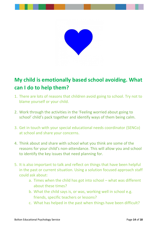

# <span id="page-13-0"></span>**My child is emotionally based school avoiding. What can I do to help them?**

- 1. There are lots of reasons that children avoid going to school. Try not to blame yourself or your child.
- 2. Work through the activities in the 'Feeling worried about going to school' child's pack together and identify ways of them being calm.
- 3. Get in touch with your special educational needs coordinator (SENCo) at school and share your concerns.
- 4. Think about and share with school what you think are some of the reasons for your child's non-attendance. This will allow you and school to identify the key issues that need planning for.
- 5. It is also important to talk and reflect on things that have been helpful in the past or current situation. Using a solution focused approach staff could ask about:
	- a. Times when the child has got into school what was different about these times?
	- b. What the child says is, or was, working well in school e.g. friends, specific teachers or lessons?
	- c. What has helped in the past when things have been difficult?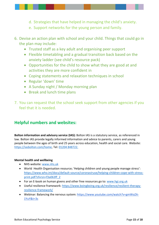

- e. Support networks for the young person and family.
- 6. Devise an action plan with school and your child. Things that could go in the plan may include:
	- Trusted staff as a key adult and organising peer support
	- Flexible timetabling and a gradual transition back based on the anxiety ladder (see child's resource pack)
	- Opportunities for the child to show what they are good at and activities they are more confident in
	- Coping statements and relaxation techniques in school
	- Regular 'down' time
	- A Sunday night / Monday morning plan
	- Break and lunch time plans
- 7. You can request that the school seek support from other agencies if you feel that it is needed.

### <span id="page-14-0"></span>**Helpful numbers and websites:**

**Bolton information and advisory service (IAS):** Bolton IAS is a statutory service, as referenced in law. Bolton IAS provide legally informed information and advice to parents, carers and young people between the ages of birth and 25 years across education, health and social care. Website: [https://iasbolton.com/home,](https://iasbolton.com/home) Tel: [01204 848722.](tel:01204848722)

#### **Mental health and wellbeing**

- NHS website: [www.nhs.uk](http://www.nhs.uk/)
- World Health Organisation resource; 'Helping children and young people manage stress': [https://www.who.int/docs/default-source/coronaviruse/helping-children-cope-with-stress](https://www.who.int/docs/default-source/coronaviruse/helping-children-cope-with-stress-print.pdf?sfvrsn=f3a063ff_2)[print.pdf?sfvrsn=f3a063ff\\_2](https://www.who.int/docs/default-source/coronaviruse/helping-children-cope-with-stress-print.pdf?sfvrsn=f3a063ff_2)
- For an E-book on human givens and other free resources go to: [www.hgi.org.uk](http://www.hgi.org.uk/)
- Useful resilience framework: [https://www.boingboing.org.uk/resilience/resilient-therapy](https://www.boingboing.org.uk/resilience/resilient-therapy-resilience-framework/)[resilience-framework/](https://www.boingboing.org.uk/resilience/resilient-therapy-resilience-framework/)
- Webinar: Balancing the nervous system: [https://www.youtube.com/watch?v=gmWoZA-](https://www.youtube.com/watch?v=gmWoZA-1YuY&t=3s)[1YuY&t=3s](https://www.youtube.com/watch?v=gmWoZA-1YuY&t=3s)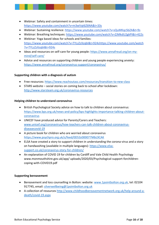- Webinar: Safety and containment in uncertain times: <https://www.youtube.com/watch?v=m3wVqt6Z6NA&t=33s>
- Webinar: Sustaining resilience:<https://www.youtube.com/watch?v=sQuMKqcSbZA&t=9s>
- Webinar: Breathing techniques:<https://www.youtube.com/watch?v=ZJMkdU2gkPI&t=422s>
- Webinar: Yoga based ideas for schools and families: [https://www.youtube.com/watch?v=TYLzZzXzqbI&t=924shttps://www.youtube.com/watch](https://www.youtube.com/watch?v=TYLzZzXzqbI&t=924s) [?v=TYLzZzXzqbI&t=924s](https://www.youtube.com/watch?v=TYLzZzXzqbI&t=924s)
- Ideas and resources on self-care for young people: [https://www.annafreud.org/on-my](https://www.annafreud.org/on-my-mind/self-care/)[mind/self-care/](https://www.annafreud.org/on-my-mind/self-care/)
- Advice and resources on supporting children and young people experiencing anxiety: <https://www.annafreud.org/coronavirus-support/coronavirus/>

#### **Supporting children with a diagnosis of autism**

- Free resources[: https://www.reachoutasc.com/resources/transition-to-new-class](https://www.reachoutasc.com/resources/transition-to-new-class)
- STARS website social stories on coming back to school after lockdown: <http://www.starsteam.org.uk/coronavirus-resources>

#### **Helping children to understand coronavirus**

- British Psychological Society advice on how to talk to children about coronavirus: [https://www.bps.org.uk/news-and-policy/bps-highlights-importance-talking-children-about](https://www.bps.org.uk/news-and-policy/bps-highlights-importance-talking-children-about-coronavirus)[coronavirus](https://www.bps.org.uk/news-and-policy/bps-highlights-importance-talking-children-about-coronavirus)
- UNICEF have produced advice for Parents/Carers and Teachers: [www.unicef.org/coronavirus/how-teachers-can-talk-children-about-coronavirus](http://www.unicef.org/coronavirus/how-teachers-can-talk-children-about-coronavirus-diseasecovid-19)[diseasecovid-19](http://www.unicef.org/coronavirus/how-teachers-can-talk-children-about-coronavirus-diseasecovid-19)
- A picture book for children who are worried about coronavirus <https://www.psychpro.org.uk/s/feed/0D53z000077MbL9CAK>
- ELSA have created a story to support children in understanding the corona-virus and a story on handwashing (available in multiple languages): [https://www.elsa](https://www.elsa-support.co.uk/coronavirus-story-for-children/)[support.co.uk/coronavirus-story-for-children/](https://www.elsa-support.co.uk/coronavirus-story-for-children/)
- An explanation of COVID 19 for children by Cardiff and Vale Child Health Psychology www.monmouthshire.gov.uk/app/ uploads/2020/03/Psychological-support-forchildrencoping-with-COVID19.pdf

#### **Supporting bereavement**

- Bereavement and loss counselling in Bolton: website: [www.1pointbolton.org.uk,](http://www.1pointbolton.org.uk/) tel: 02104 917745, email: [silverwellbeing@1pointbolton.org.uk](mailto:silverwellbeing@1pointbolton.org.uk)
- A collection of resources [http://www.childhoodbereavementnetwork.org.uk/help-around-a](http://www.childhoodbereavementnetwork.org.uk/help-around-a-death/covid-19.aspx)[death/covid-19.aspx](http://www.childhoodbereavementnetwork.org.uk/help-around-a-death/covid-19.aspx)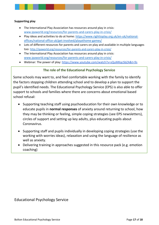#### **Supporting play**

- The International Play Association has resources around play in crisis: [www.ipaworld.org/resources/for-parents-and-carers-play-in-crisis/](http://www.ipaworld.org/resources/for-parents-and-carers-play-in-crisis/)
- Play ideas and activities to do at home: [https://www.righttoplay.org.uk/en-uk/national](https://www.righttoplay.org.uk/en-uk/national-offices/national-office-uk/get-involved/playathome-games/)[offices/national-office-uk/get-involved/playathome-games/](https://www.righttoplay.org.uk/en-uk/national-offices/national-office-uk/get-involved/playathome-games/)
- Lots of different resources for parents and carers on play and available in multiple languages too: <http://ipaworld.org/resources/for-parents-and-carers-play-in-crisis/>
- The International Play Association has resources around play in crisis: [www.ipaworld.org/resources/for-parents-and-carers-play-in-crisis/](http://www.ipaworld.org/resources/for-parents-and-carers-play-in-crisis/)
- Webinar: The power of play:<https://www.youtube.com/watch?v=sQuMKqcSbZA&t=9s>

#### **The role of the Educational Psychology Service**

Some schools may want to, and feel comfortable working with the family to identify the factors stopping children attending school and to develop a plan to support the pupil's identified needs. The Educational Psychology Service (EPS) is also able to offer support to schools and families where there are concerns about emotional based school refusal:

- Supporting teaching staff using psychoeducation for their own knowledge or to educate pupils in **normal responses** of anxiety around returning to school, how they may be thinking or feeling, simple coping strategies (see EPS newsletters), circles of support and setting up key adults, plus educating pupils about Coronavirus.
- Supporting staff and pupils individually in developing coping strategies (use the working with worries ideas), relaxation and using the language of resilience as well as anxiety.
- Delivering training in approaches suggested in this resource pack (e.g. emotion coaching)

#### Educational Psychology Service